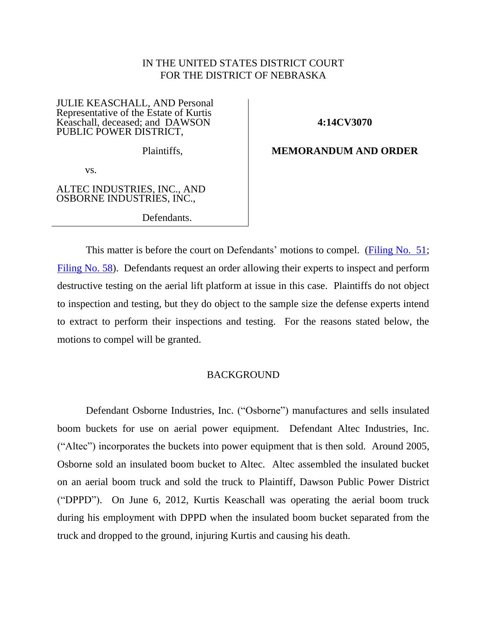## IN THE UNITED STATES DISTRICT COURT FOR THE DISTRICT OF NEBRASKA

#### JULIE KEASCHALL, AND Personal Representative of the Estate of Kurtis Keaschall, deceased; and DAWSON PUBLIC POWER DISTRICT,

**4:14CV3070**

#### Plaintiffs,

vs.

### ALTEC INDUSTRIES, INC., AND OSBORNE INDUSTRIES, INC.,

Defendants.

This matter is before the court on Defendants' motions to compel. [\(Filing No. 51;](https://ecf.ned.uscourts.gov/doc1/11313388712) [Filing No. 58\)](https://ecf.ned.uscourts.gov/doc1/11313397669). Defendants request an order allowing their experts to inspect and perform destructive testing on the aerial lift platform at issue in this case. Plaintiffs do not object to inspection and testing, but they do object to the sample size the defense experts intend to extract to perform their inspections and testing. For the reasons stated below, the motions to compel will be granted.

## BACKGROUND

Defendant Osborne Industries, Inc. ("Osborne") manufactures and sells insulated boom buckets for use on aerial power equipment. Defendant Altec Industries, Inc. ("Altec") incorporates the buckets into power equipment that is then sold. Around 2005, Osborne sold an insulated boom bucket to Altec. Altec assembled the insulated bucket on an aerial boom truck and sold the truck to Plaintiff, Dawson Public Power District ("DPPD"). On June 6, 2012, Kurtis Keaschall was operating the aerial boom truck during his employment with DPPD when the insulated boom bucket separated from the truck and dropped to the ground, injuring Kurtis and causing his death.

# **MEMORANDUM AND ORDER**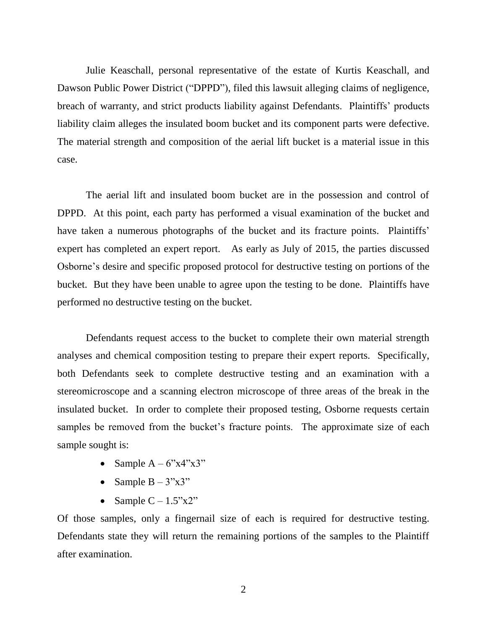Julie Keaschall, personal representative of the estate of Kurtis Keaschall, and Dawson Public Power District ("DPPD"), filed this lawsuit alleging claims of negligence, breach of warranty, and strict products liability against Defendants. Plaintiffs' products liability claim alleges the insulated boom bucket and its component parts were defective. The material strength and composition of the aerial lift bucket is a material issue in this case.

The aerial lift and insulated boom bucket are in the possession and control of DPPD. At this point, each party has performed a visual examination of the bucket and have taken a numerous photographs of the bucket and its fracture points. Plaintiffs' expert has completed an expert report. As early as July of 2015, the parties discussed Osborne's desire and specific proposed protocol for destructive testing on portions of the bucket. But they have been unable to agree upon the testing to be done. Plaintiffs have performed no destructive testing on the bucket.

Defendants request access to the bucket to complete their own material strength analyses and chemical composition testing to prepare their expert reports. Specifically, both Defendants seek to complete destructive testing and an examination with a stereomicroscope and a scanning electron microscope of three areas of the break in the insulated bucket. In order to complete their proposed testing, Osborne requests certain samples be removed from the bucket's fracture points. The approximate size of each sample sought is:

- Sample  $A 6"x4"x3"$
- Sample  $B 3"x3"$
- Sample  $C 1.5$ " $x2$ "

Of those samples, only a fingernail size of each is required for destructive testing. Defendants state they will return the remaining portions of the samples to the Plaintiff after examination.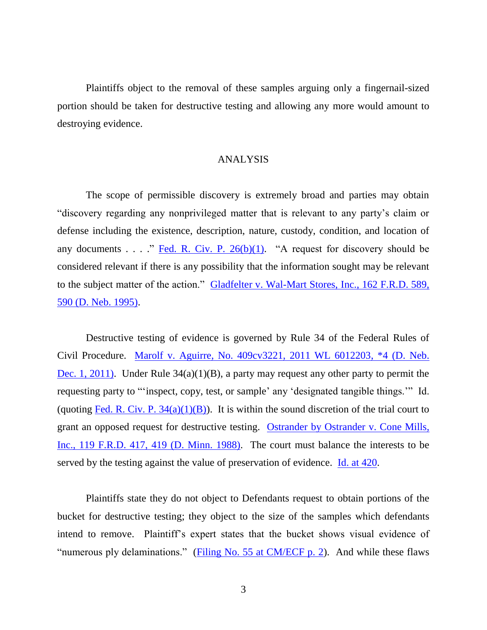Plaintiffs object to the removal of these samples arguing only a fingernail-sized portion should be taken for destructive testing and allowing any more would amount to destroying evidence.

## ANALYSIS

The scope of permissible discovery is extremely broad and parties may obtain "discovery regarding any nonprivileged matter that is relevant to any party's claim or defense including the existence, description, nature, custody, condition, and location of any documents . . . . " Fed. R. Civ. P.  $26(b)(1)$ . "A request for discovery should be considered relevant if there is any possibility that the information sought may be relevant to the subject matter of the action." [Gladfelter v. Wal-Mart Stores, Inc., 162 F.R.D. 589,](https://www.westlaw.com/Document/I6d88ab0c563c11d9bf30d7fdf51b6bd4/View/FullText.html?transitionType=Default&contextData=(sc.Default)&VR=3.0&RS=da3.0&fragmentIdentifier=co_pp_sp_344_590)  [590 \(D. Neb. 1995\).](https://www.westlaw.com/Document/I6d88ab0c563c11d9bf30d7fdf51b6bd4/View/FullText.html?transitionType=Default&contextData=(sc.Default)&VR=3.0&RS=da3.0&fragmentIdentifier=co_pp_sp_344_590)

Destructive testing of evidence is governed by Rule 34 of the Federal Rules of Civil Procedure. [Marolf v. Aguirre, No. 409cv3221, 2011 WL 6012203, \\*4 \(D. Neb.](https://www.westlaw.com/Document/I0cdb85b11f3011e19553c1f5e5d07b6a/View/FullText.html?transitionType=Default&contextData=(sc.Default)&VR=3.0&RS=da3.0&fragmentIdentifier=co_pp_sp_999_4)  [Dec. 1, 2011\).](https://www.westlaw.com/Document/I0cdb85b11f3011e19553c1f5e5d07b6a/View/FullText.html?transitionType=Default&contextData=(sc.Default)&VR=3.0&RS=da3.0&fragmentIdentifier=co_pp_sp_999_4) Under Rule 34(a)(1)(B), a party may request any other party to permit the requesting party to "'inspect, copy, test, or sample' any 'designated tangible things.'" Id. (quoting Fed. R. Civ. P.  $34(a)(1)(B)$ ). It is within the sound discretion of the trial court to grant an opposed request for destructive testing. [Ostrander by Ostrander v. Cone Mills,](https://www.westlaw.com/Document/Iee1d662055a111d9bf30d7fdf51b6bd4/View/FullText.html?transitionType=Default&contextData=(sc.Default)&VR=3.0&RS=da3.0&fragmentIdentifier=co_pp_sp_344_419)  [Inc., 119 F.R.D. 417, 419](https://www.westlaw.com/Document/Iee1d662055a111d9bf30d7fdf51b6bd4/View/FullText.html?transitionType=Default&contextData=(sc.Default)&VR=3.0&RS=da3.0&fragmentIdentifier=co_pp_sp_344_419) (D. Minn. 1988). The court must balance the interests to be served by the testing against the value of preservation of evidence. [Id. at 420.](https://www.westlaw.com/Document/Iee1d662055a111d9bf30d7fdf51b6bd4/View/FullText.html?transitionType=Default&contextData=(sc.Default)&VR=3.0&RS=da3.0&fragmentIdentifier=co_pp_sp_344_420)

Plaintiffs state they do not object to Defendants request to obtain portions of the bucket for destructive testing; they object to the size of the samples which defendants intend to remove. Plaintiff's expert states that the bucket shows visual evidence of "numerous ply delaminations." [\(Filing No. 55 at CM/ECF p. 2\)](https://ecf.ned.uscourts.gov/doc1/11313397581?page=2). And while these flaws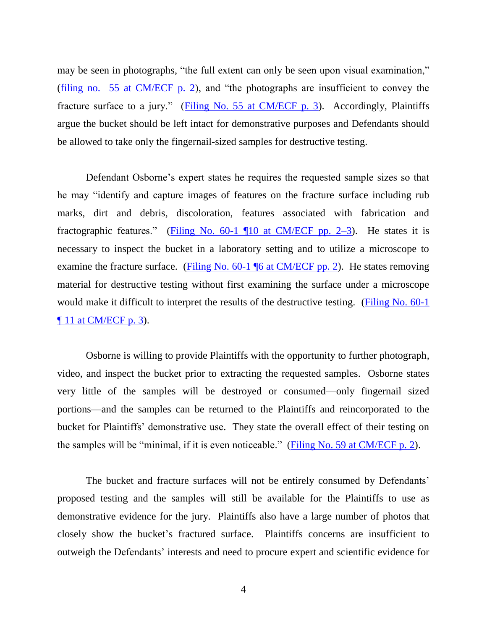may be seen in photographs, "the full extent can only be seen upon visual examination," [\(filing no. 55 at CM/ECF p. 2\)](https://ecf.ned.uscourts.gov/doc1/11313397581?page=2), and "the photographs are insufficient to convey the fracture surface to a jury." [\(Filing No. 55 at CM/ECF p. 3\)](https://ecf.ned.uscourts.gov/doc1/11313397581?page=3). Accordingly, Plaintiffs argue the bucket should be left intact for demonstrative purposes and Defendants should be allowed to take only the fingernail-sized samples for destructive testing.

Defendant Osborne's expert states he requires the requested sample sizes so that he may "identify and capture images of features on the fracture surface including rub marks, dirt and debris, discoloration, features associated with fabrication and fractographic features." (Filing No. 60-1  $\P$ 10 at CM/ECF pp. 2–3). He states it is necessary to inspect the bucket in a laboratory setting and to utilize a microscope to examine the fracture surface. (Filing No. 60-1 [¶6 at CM/ECF pp. 2\)](https://ecf.ned.uscourts.gov/doc1/11313401640?page=2). He states removing material for destructive testing without first examining the surface under a microscope would make it difficult to interpret the results of the destructive testing. [\(Filing No. 60-1](https://ecf.ned.uscourts.gov/doc1/11313401640?page=3)) [¶ 11 at CM/ECF p. 3\)](https://ecf.ned.uscourts.gov/doc1/11313401640?page=3).

Osborne is willing to provide Plaintiffs with the opportunity to further photograph, video, and inspect the bucket prior to extracting the requested samples. Osborne states very little of the samples will be destroyed or consumed—only fingernail sized portions—and the samples can be returned to the Plaintiffs and reincorporated to the bucket for Plaintiffs' demonstrative use. They state the overall effect of their testing on the samples will be "minimal, if it is even noticeable." [\(Filing No. 59 at CM/ECF p. 2\)](https://ecf.ned.uscourts.gov/doc1/11313401630?page=2).

The bucket and fracture surfaces will not be entirely consumed by Defendants' proposed testing and the samples will still be available for the Plaintiffs to use as demonstrative evidence for the jury. Plaintiffs also have a large number of photos that closely show the bucket's fractured surface. Plaintiffs concerns are insufficient to outweigh the Defendants' interests and need to procure expert and scientific evidence for